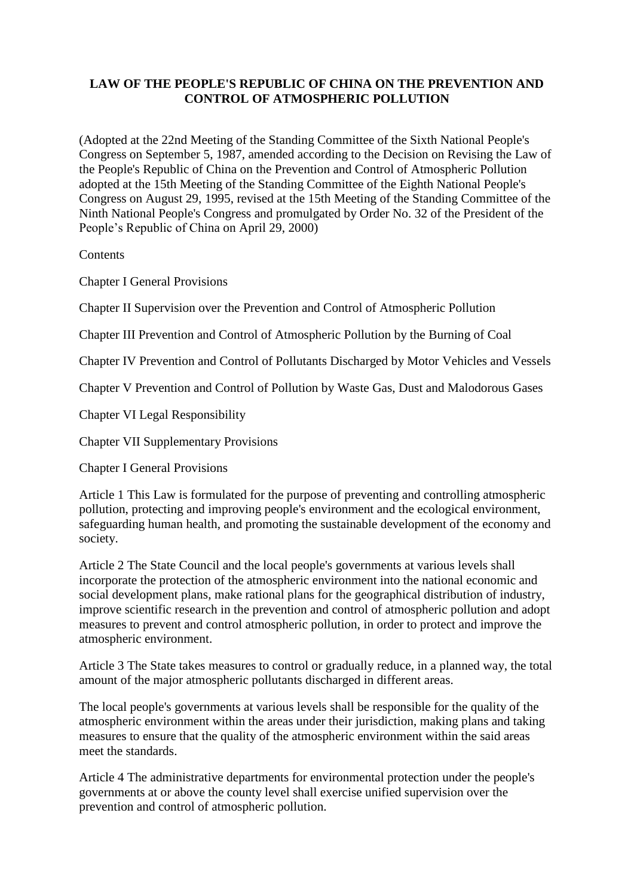## **LAW OF THE PEOPLE'S REPUBLIC OF CHINA ON THE PREVENTION AND CONTROL OF ATMOSPHERIC POLLUTION**

(Adopted at the 22nd Meeting of the Standing Committee of the Sixth National People's Congress on September 5, 1987, amended according to the Decision on Revising the Law of the People's Republic of China on the Prevention and Control of Atmospheric Pollution adopted at the 15th Meeting of the Standing Committee of the Eighth National People's Congress on August 29, 1995, revised at the 15th Meeting of the Standing Committee of the Ninth National People's Congress and promulgated by Order No. 32 of the President of the People's Republic of China on April 29, 2000)

**Contents** 

Chapter I General Provisions

Chapter II Supervision over the Prevention and Control of Atmospheric Pollution

Chapter III Prevention and Control of Atmospheric Pollution by the Burning of Coal

Chapter IV Prevention and Control of Pollutants Discharged by Motor Vehicles and Vessels

Chapter V Prevention and Control of Pollution by Waste Gas, Dust and Malodorous Gases

Chapter VI Legal Responsibility

Chapter VII Supplementary Provisions

Chapter I General Provisions

Article 1 This Law is formulated for the purpose of preventing and controlling atmospheric pollution, protecting and improving people's environment and the ecological environment, safeguarding human health, and promoting the sustainable development of the economy and society.

Article 2 The State Council and the local people's governments at various levels shall incorporate the protection of the atmospheric environment into the national economic and social development plans, make rational plans for the geographical distribution of industry, improve scientific research in the prevention and control of atmospheric pollution and adopt measures to prevent and control atmospheric pollution, in order to protect and improve the atmospheric environment.

Article 3 The State takes measures to control or gradually reduce, in a planned way, the total amount of the major atmospheric pollutants discharged in different areas.

The local people's governments at various levels shall be responsible for the quality of the atmospheric environment within the areas under their jurisdiction, making plans and taking measures to ensure that the quality of the atmospheric environment within the said areas meet the standards.

Article 4 The administrative departments for environmental protection under the people's governments at or above the county level shall exercise unified supervision over the prevention and control of atmospheric pollution.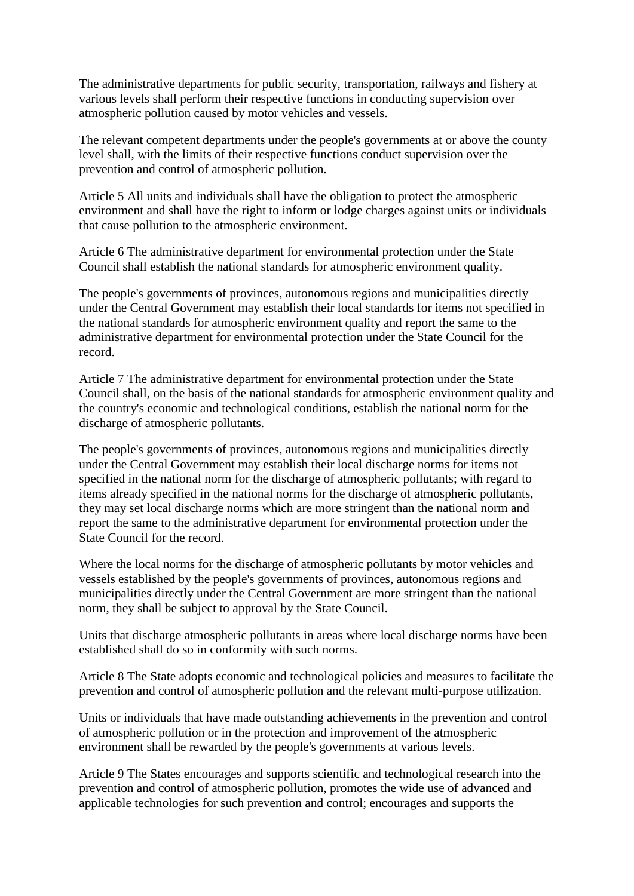The administrative departments for public security, transportation, railways and fishery at various levels shall perform their respective functions in conducting supervision over atmospheric pollution caused by motor vehicles and vessels.

The relevant competent departments under the people's governments at or above the county level shall, with the limits of their respective functions conduct supervision over the prevention and control of atmospheric pollution.

Article 5 All units and individuals shall have the obligation to protect the atmospheric environment and shall have the right to inform or lodge charges against units or individuals that cause pollution to the atmospheric environment.

Article 6 The administrative department for environmental protection under the State Council shall establish the national standards for atmospheric environment quality.

The people's governments of provinces, autonomous regions and municipalities directly under the Central Government may establish their local standards for items not specified in the national standards for atmospheric environment quality and report the same to the administrative department for environmental protection under the State Council for the record.

Article 7 The administrative department for environmental protection under the State Council shall, on the basis of the national standards for atmospheric environment quality and the country's economic and technological conditions, establish the national norm for the discharge of atmospheric pollutants.

The people's governments of provinces, autonomous regions and municipalities directly under the Central Government may establish their local discharge norms for items not specified in the national norm for the discharge of atmospheric pollutants; with regard to items already specified in the national norms for the discharge of atmospheric pollutants, they may set local discharge norms which are more stringent than the national norm and report the same to the administrative department for environmental protection under the State Council for the record.

Where the local norms for the discharge of atmospheric pollutants by motor vehicles and vessels established by the people's governments of provinces, autonomous regions and municipalities directly under the Central Government are more stringent than the national norm, they shall be subject to approval by the State Council.

Units that discharge atmospheric pollutants in areas where local discharge norms have been established shall do so in conformity with such norms.

Article 8 The State adopts economic and technological policies and measures to facilitate the prevention and control of atmospheric pollution and the relevant multi-purpose utilization.

Units or individuals that have made outstanding achievements in the prevention and control of atmospheric pollution or in the protection and improvement of the atmospheric environment shall be rewarded by the people's governments at various levels.

Article 9 The States encourages and supports scientific and technological research into the prevention and control of atmospheric pollution, promotes the wide use of advanced and applicable technologies for such prevention and control; encourages and supports the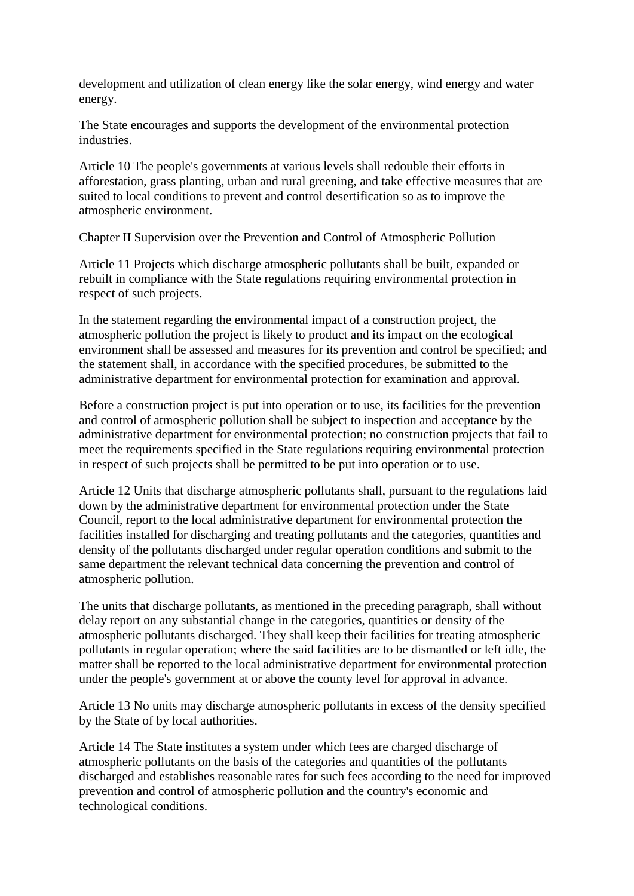development and utilization of clean energy like the solar energy, wind energy and water energy.

The State encourages and supports the development of the environmental protection industries.

Article 10 The people's governments at various levels shall redouble their efforts in afforestation, grass planting, urban and rural greening, and take effective measures that are suited to local conditions to prevent and control desertification so as to improve the atmospheric environment.

Chapter II Supervision over the Prevention and Control of Atmospheric Pollution

Article 11 Projects which discharge atmospheric pollutants shall be built, expanded or rebuilt in compliance with the State regulations requiring environmental protection in respect of such projects.

In the statement regarding the environmental impact of a construction project, the atmospheric pollution the project is likely to product and its impact on the ecological environment shall be assessed and measures for its prevention and control be specified; and the statement shall, in accordance with the specified procedures, be submitted to the administrative department for environmental protection for examination and approval.

Before a construction project is put into operation or to use, its facilities for the prevention and control of atmospheric pollution shall be subject to inspection and acceptance by the administrative department for environmental protection; no construction projects that fail to meet the requirements specified in the State regulations requiring environmental protection in respect of such projects shall be permitted to be put into operation or to use.

Article 12 Units that discharge atmospheric pollutants shall, pursuant to the regulations laid down by the administrative department for environmental protection under the State Council, report to the local administrative department for environmental protection the facilities installed for discharging and treating pollutants and the categories, quantities and density of the pollutants discharged under regular operation conditions and submit to the same department the relevant technical data concerning the prevention and control of atmospheric pollution.

The units that discharge pollutants, as mentioned in the preceding paragraph, shall without delay report on any substantial change in the categories, quantities or density of the atmospheric pollutants discharged. They shall keep their facilities for treating atmospheric pollutants in regular operation; where the said facilities are to be dismantled or left idle, the matter shall be reported to the local administrative department for environmental protection under the people's government at or above the county level for approval in advance.

Article 13 No units may discharge atmospheric pollutants in excess of the density specified by the State of by local authorities.

Article 14 The State institutes a system under which fees are charged discharge of atmospheric pollutants on the basis of the categories and quantities of the pollutants discharged and establishes reasonable rates for such fees according to the need for improved prevention and control of atmospheric pollution and the country's economic and technological conditions.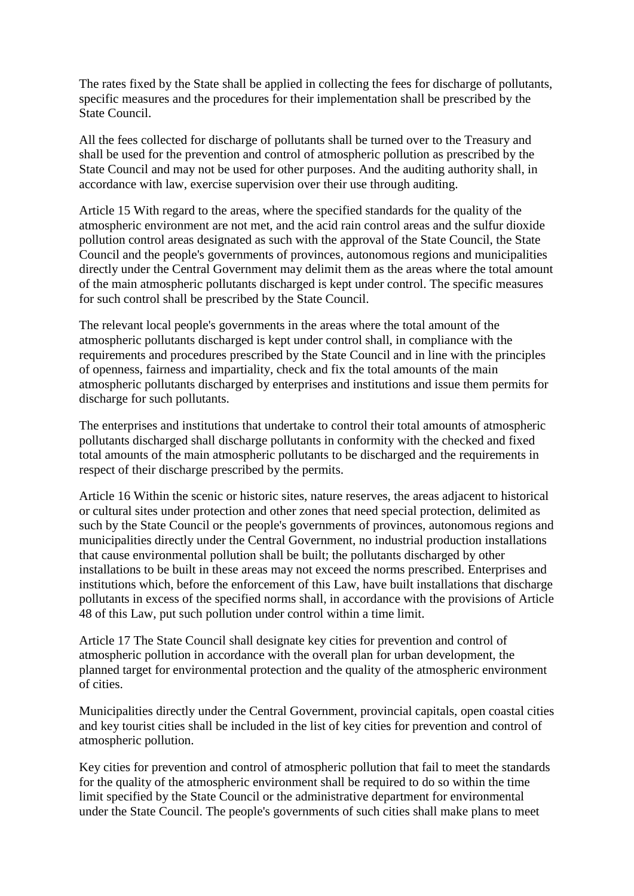The rates fixed by the State shall be applied in collecting the fees for discharge of pollutants, specific measures and the procedures for their implementation shall be prescribed by the State Council.

All the fees collected for discharge of pollutants shall be turned over to the Treasury and shall be used for the prevention and control of atmospheric pollution as prescribed by the State Council and may not be used for other purposes. And the auditing authority shall, in accordance with law, exercise supervision over their use through auditing.

Article 15 With regard to the areas, where the specified standards for the quality of the atmospheric environment are not met, and the acid rain control areas and the sulfur dioxide pollution control areas designated as such with the approval of the State Council, the State Council and the people's governments of provinces, autonomous regions and municipalities directly under the Central Government may delimit them as the areas where the total amount of the main atmospheric pollutants discharged is kept under control. The specific measures for such control shall be prescribed by the State Council.

The relevant local people's governments in the areas where the total amount of the atmospheric pollutants discharged is kept under control shall, in compliance with the requirements and procedures prescribed by the State Council and in line with the principles of openness, fairness and impartiality, check and fix the total amounts of the main atmospheric pollutants discharged by enterprises and institutions and issue them permits for discharge for such pollutants.

The enterprises and institutions that undertake to control their total amounts of atmospheric pollutants discharged shall discharge pollutants in conformity with the checked and fixed total amounts of the main atmospheric pollutants to be discharged and the requirements in respect of their discharge prescribed by the permits.

Article 16 Within the scenic or historic sites, nature reserves, the areas adjacent to historical or cultural sites under protection and other zones that need special protection, delimited as such by the State Council or the people's governments of provinces, autonomous regions and municipalities directly under the Central Government, no industrial production installations that cause environmental pollution shall be built; the pollutants discharged by other installations to be built in these areas may not exceed the norms prescribed. Enterprises and institutions which, before the enforcement of this Law, have built installations that discharge pollutants in excess of the specified norms shall, in accordance with the provisions of Article 48 of this Law, put such pollution under control within a time limit.

Article 17 The State Council shall designate key cities for prevention and control of atmospheric pollution in accordance with the overall plan for urban development, the planned target for environmental protection and the quality of the atmospheric environment of cities.

Municipalities directly under the Central Government, provincial capitals, open coastal cities and key tourist cities shall be included in the list of key cities for prevention and control of atmospheric pollution.

Key cities for prevention and control of atmospheric pollution that fail to meet the standards for the quality of the atmospheric environment shall be required to do so within the time limit specified by the State Council or the administrative department for environmental under the State Council. The people's governments of such cities shall make plans to meet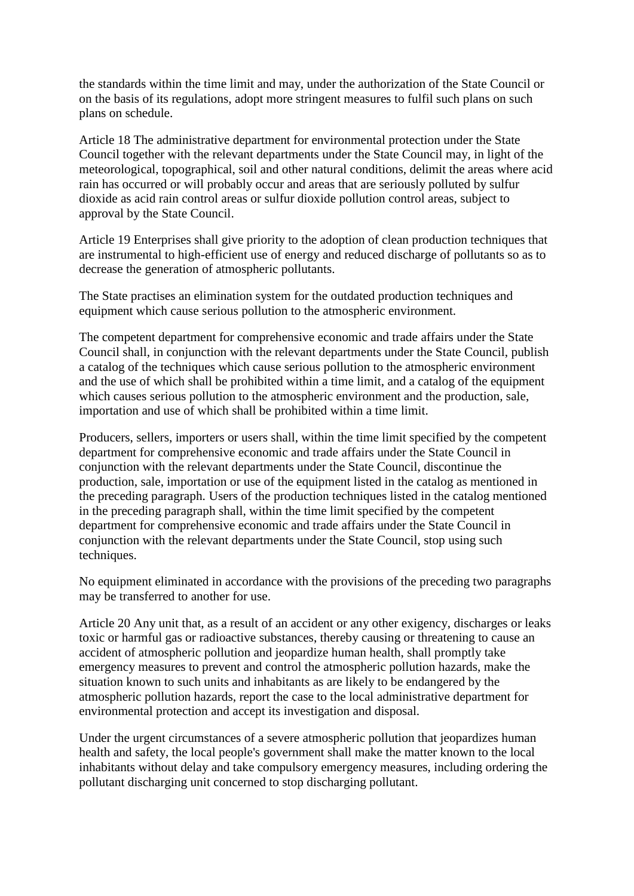the standards within the time limit and may, under the authorization of the State Council or on the basis of its regulations, adopt more stringent measures to fulfil such plans on such plans on schedule.

Article 18 The administrative department for environmental protection under the State Council together with the relevant departments under the State Council may, in light of the meteorological, topographical, soil and other natural conditions, delimit the areas where acid rain has occurred or will probably occur and areas that are seriously polluted by sulfur dioxide as acid rain control areas or sulfur dioxide pollution control areas, subject to approval by the State Council.

Article 19 Enterprises shall give priority to the adoption of clean production techniques that are instrumental to high-efficient use of energy and reduced discharge of pollutants so as to decrease the generation of atmospheric pollutants.

The State practises an elimination system for the outdated production techniques and equipment which cause serious pollution to the atmospheric environment.

The competent department for comprehensive economic and trade affairs under the State Council shall, in conjunction with the relevant departments under the State Council, publish a catalog of the techniques which cause serious pollution to the atmospheric environment and the use of which shall be prohibited within a time limit, and a catalog of the equipment which causes serious pollution to the atmospheric environment and the production, sale, importation and use of which shall be prohibited within a time limit.

Producers, sellers, importers or users shall, within the time limit specified by the competent department for comprehensive economic and trade affairs under the State Council in conjunction with the relevant departments under the State Council, discontinue the production, sale, importation or use of the equipment listed in the catalog as mentioned in the preceding paragraph. Users of the production techniques listed in the catalog mentioned in the preceding paragraph shall, within the time limit specified by the competent department for comprehensive economic and trade affairs under the State Council in conjunction with the relevant departments under the State Council, stop using such techniques.

No equipment eliminated in accordance with the provisions of the preceding two paragraphs may be transferred to another for use.

Article 20 Any unit that, as a result of an accident or any other exigency, discharges or leaks toxic or harmful gas or radioactive substances, thereby causing or threatening to cause an accident of atmospheric pollution and jeopardize human health, shall promptly take emergency measures to prevent and control the atmospheric pollution hazards, make the situation known to such units and inhabitants as are likely to be endangered by the atmospheric pollution hazards, report the case to the local administrative department for environmental protection and accept its investigation and disposal.

Under the urgent circumstances of a severe atmospheric pollution that jeopardizes human health and safety, the local people's government shall make the matter known to the local inhabitants without delay and take compulsory emergency measures, including ordering the pollutant discharging unit concerned to stop discharging pollutant.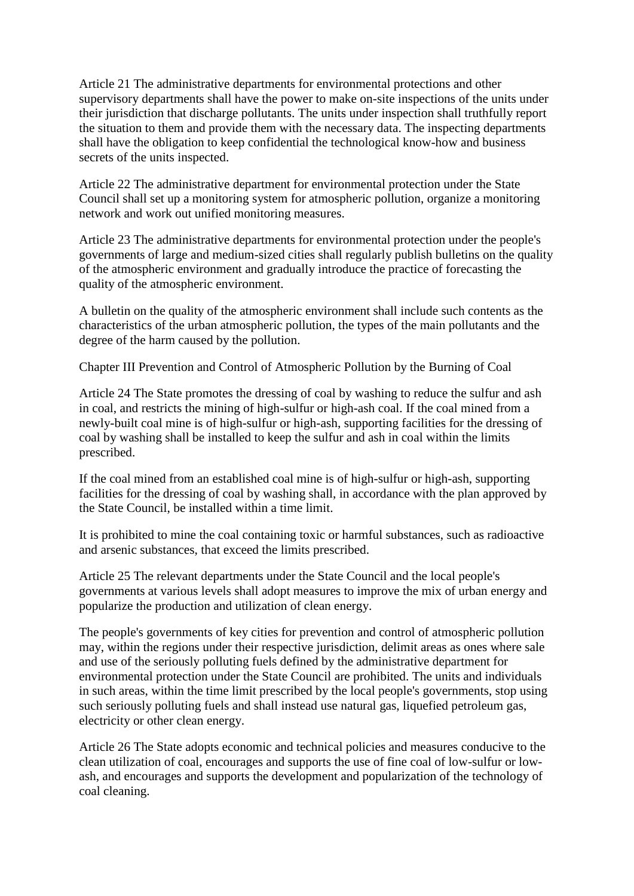Article 21 The administrative departments for environmental protections and other supervisory departments shall have the power to make on-site inspections of the units under their jurisdiction that discharge pollutants. The units under inspection shall truthfully report the situation to them and provide them with the necessary data. The inspecting departments shall have the obligation to keep confidential the technological know-how and business secrets of the units inspected.

Article 22 The administrative department for environmental protection under the State Council shall set up a monitoring system for atmospheric pollution, organize a monitoring network and work out unified monitoring measures.

Article 23 The administrative departments for environmental protection under the people's governments of large and medium-sized cities shall regularly publish bulletins on the quality of the atmospheric environment and gradually introduce the practice of forecasting the quality of the atmospheric environment.

A bulletin on the quality of the atmospheric environment shall include such contents as the characteristics of the urban atmospheric pollution, the types of the main pollutants and the degree of the harm caused by the pollution.

Chapter III Prevention and Control of Atmospheric Pollution by the Burning of Coal

Article 24 The State promotes the dressing of coal by washing to reduce the sulfur and ash in coal, and restricts the mining of high-sulfur or high-ash coal. If the coal mined from a newly-built coal mine is of high-sulfur or high-ash, supporting facilities for the dressing of coal by washing shall be installed to keep the sulfur and ash in coal within the limits prescribed.

If the coal mined from an established coal mine is of high-sulfur or high-ash, supporting facilities for the dressing of coal by washing shall, in accordance with the plan approved by the State Council, be installed within a time limit.

It is prohibited to mine the coal containing toxic or harmful substances, such as radioactive and arsenic substances, that exceed the limits prescribed.

Article 25 The relevant departments under the State Council and the local people's governments at various levels shall adopt measures to improve the mix of urban energy and popularize the production and utilization of clean energy.

The people's governments of key cities for prevention and control of atmospheric pollution may, within the regions under their respective jurisdiction, delimit areas as ones where sale and use of the seriously polluting fuels defined by the administrative department for environmental protection under the State Council are prohibited. The units and individuals in such areas, within the time limit prescribed by the local people's governments, stop using such seriously polluting fuels and shall instead use natural gas, liquefied petroleum gas, electricity or other clean energy.

Article 26 The State adopts economic and technical policies and measures conducive to the clean utilization of coal, encourages and supports the use of fine coal of low-sulfur or lowash, and encourages and supports the development and popularization of the technology of coal cleaning.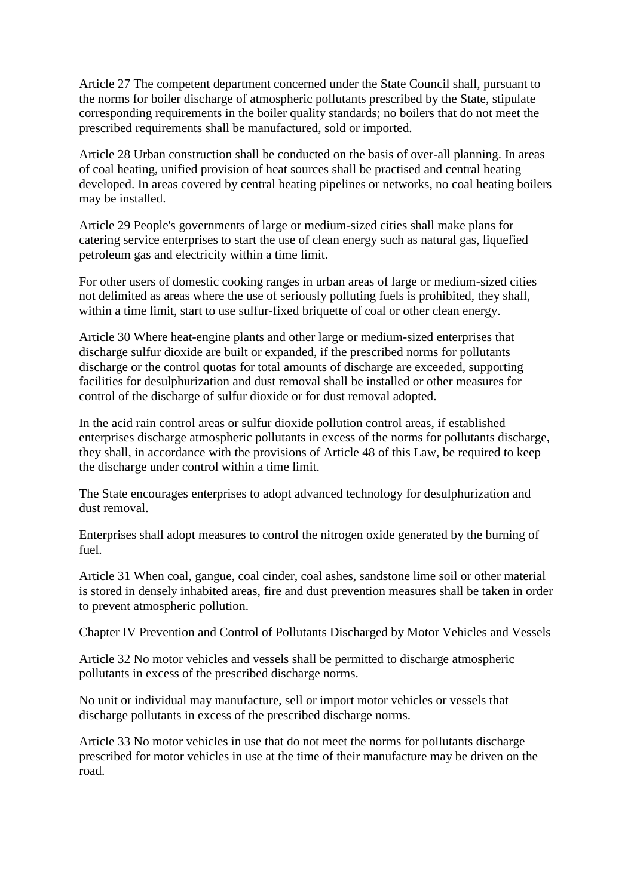Article 27 The competent department concerned under the State Council shall, pursuant to the norms for boiler discharge of atmospheric pollutants prescribed by the State, stipulate corresponding requirements in the boiler quality standards; no boilers that do not meet the prescribed requirements shall be manufactured, sold or imported.

Article 28 Urban construction shall be conducted on the basis of over-all planning. In areas of coal heating, unified provision of heat sources shall be practised and central heating developed. In areas covered by central heating pipelines or networks, no coal heating boilers may be installed.

Article 29 People's governments of large or medium-sized cities shall make plans for catering service enterprises to start the use of clean energy such as natural gas, liquefied petroleum gas and electricity within a time limit.

For other users of domestic cooking ranges in urban areas of large or medium-sized cities not delimited as areas where the use of seriously polluting fuels is prohibited, they shall, within a time limit, start to use sulfur-fixed briquette of coal or other clean energy.

Article 30 Where heat-engine plants and other large or medium-sized enterprises that discharge sulfur dioxide are built or expanded, if the prescribed norms for pollutants discharge or the control quotas for total amounts of discharge are exceeded, supporting facilities for desulphurization and dust removal shall be installed or other measures for control of the discharge of sulfur dioxide or for dust removal adopted.

In the acid rain control areas or sulfur dioxide pollution control areas, if established enterprises discharge atmospheric pollutants in excess of the norms for pollutants discharge, they shall, in accordance with the provisions of Article 48 of this Law, be required to keep the discharge under control within a time limit.

The State encourages enterprises to adopt advanced technology for desulphurization and dust removal.

Enterprises shall adopt measures to control the nitrogen oxide generated by the burning of fuel.

Article 31 When coal, gangue, coal cinder, coal ashes, sandstone lime soil or other material is stored in densely inhabited areas, fire and dust prevention measures shall be taken in order to prevent atmospheric pollution.

Chapter IV Prevention and Control of Pollutants Discharged by Motor Vehicles and Vessels

Article 32 No motor vehicles and vessels shall be permitted to discharge atmospheric pollutants in excess of the prescribed discharge norms.

No unit or individual may manufacture, sell or import motor vehicles or vessels that discharge pollutants in excess of the prescribed discharge norms.

Article 33 No motor vehicles in use that do not meet the norms for pollutants discharge prescribed for motor vehicles in use at the time of their manufacture may be driven on the road.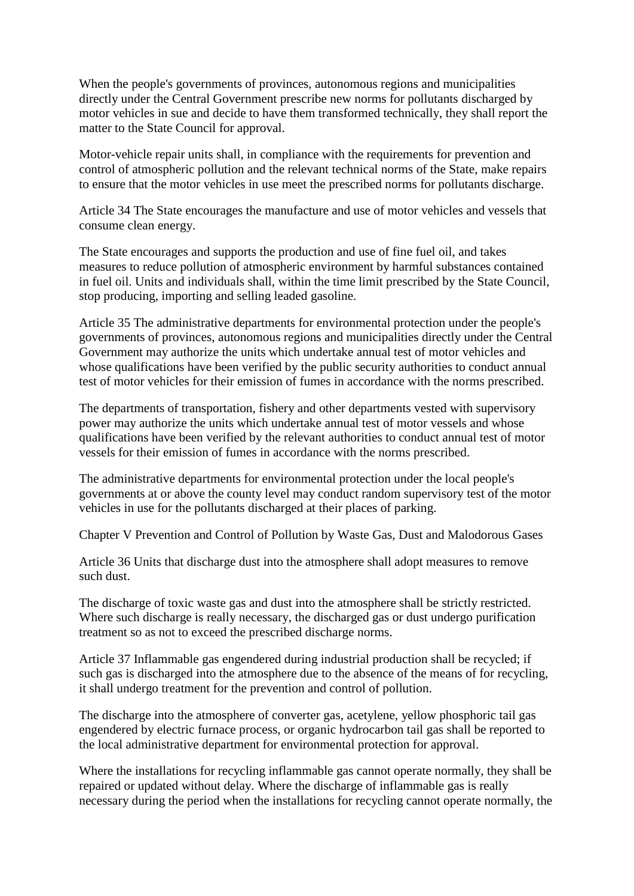When the people's governments of provinces, autonomous regions and municipalities directly under the Central Government prescribe new norms for pollutants discharged by motor vehicles in sue and decide to have them transformed technically, they shall report the matter to the State Council for approval.

Motor-vehicle repair units shall, in compliance with the requirements for prevention and control of atmospheric pollution and the relevant technical norms of the State, make repairs to ensure that the motor vehicles in use meet the prescribed norms for pollutants discharge.

Article 34 The State encourages the manufacture and use of motor vehicles and vessels that consume clean energy.

The State encourages and supports the production and use of fine fuel oil, and takes measures to reduce pollution of atmospheric environment by harmful substances contained in fuel oil. Units and individuals shall, within the time limit prescribed by the State Council, stop producing, importing and selling leaded gasoline.

Article 35 The administrative departments for environmental protection under the people's governments of provinces, autonomous regions and municipalities directly under the Central Government may authorize the units which undertake annual test of motor vehicles and whose qualifications have been verified by the public security authorities to conduct annual test of motor vehicles for their emission of fumes in accordance with the norms prescribed.

The departments of transportation, fishery and other departments vested with supervisory power may authorize the units which undertake annual test of motor vessels and whose qualifications have been verified by the relevant authorities to conduct annual test of motor vessels for their emission of fumes in accordance with the norms prescribed.

The administrative departments for environmental protection under the local people's governments at or above the county level may conduct random supervisory test of the motor vehicles in use for the pollutants discharged at their places of parking.

Chapter V Prevention and Control of Pollution by Waste Gas, Dust and Malodorous Gases

Article 36 Units that discharge dust into the atmosphere shall adopt measures to remove such dust.

The discharge of toxic waste gas and dust into the atmosphere shall be strictly restricted. Where such discharge is really necessary, the discharged gas or dust undergo purification treatment so as not to exceed the prescribed discharge norms.

Article 37 Inflammable gas engendered during industrial production shall be recycled; if such gas is discharged into the atmosphere due to the absence of the means of for recycling, it shall undergo treatment for the prevention and control of pollution.

The discharge into the atmosphere of converter gas, acetylene, yellow phosphoric tail gas engendered by electric furnace process, or organic hydrocarbon tail gas shall be reported to the local administrative department for environmental protection for approval.

Where the installations for recycling inflammable gas cannot operate normally, they shall be repaired or updated without delay. Where the discharge of inflammable gas is really necessary during the period when the installations for recycling cannot operate normally, the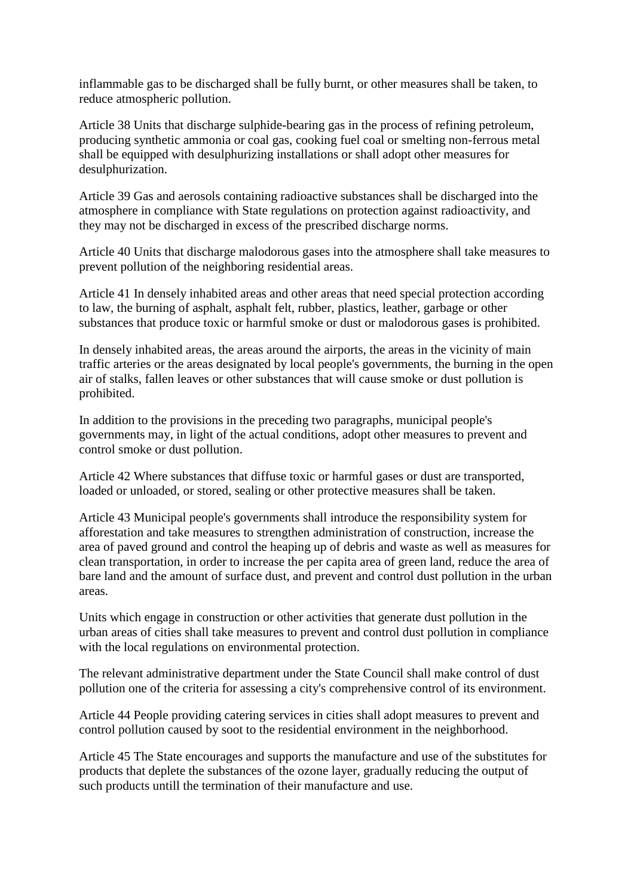inflammable gas to be discharged shall be fully burnt, or other measures shall be taken, to reduce atmospheric pollution.

Article 38 Units that discharge sulphide-bearing gas in the process of refining petroleum, producing synthetic ammonia or coal gas, cooking fuel coal or smelting non-ferrous metal shall be equipped with desulphurizing installations or shall adopt other measures for desulphurization.

Article 39 Gas and aerosols containing radioactive substances shall be discharged into the atmosphere in compliance with State regulations on protection against radioactivity, and they may not be discharged in excess of the prescribed discharge norms.

Article 40 Units that discharge malodorous gases into the atmosphere shall take measures to prevent pollution of the neighboring residential areas.

Article 41 In densely inhabited areas and other areas that need special protection according to law, the burning of asphalt, asphalt felt, rubber, plastics, leather, garbage or other substances that produce toxic or harmful smoke or dust or malodorous gases is prohibited.

In densely inhabited areas, the areas around the airports, the areas in the vicinity of main traffic arteries or the areas designated by local people's governments, the burning in the open air of stalks, fallen leaves or other substances that will cause smoke or dust pollution is prohibited.

In addition to the provisions in the preceding two paragraphs, municipal people's governments may, in light of the actual conditions, adopt other measures to prevent and control smoke or dust pollution.

Article 42 Where substances that diffuse toxic or harmful gases or dust are transported, loaded or unloaded, or stored, sealing or other protective measures shall be taken.

Article 43 Municipal people's governments shall introduce the responsibility system for afforestation and take measures to strengthen administration of construction, increase the area of paved ground and control the heaping up of debris and waste as well as measures for clean transportation, in order to increase the per capita area of green land, reduce the area of bare land and the amount of surface dust, and prevent and control dust pollution in the urban areas.

Units which engage in construction or other activities that generate dust pollution in the urban areas of cities shall take measures to prevent and control dust pollution in compliance with the local regulations on environmental protection.

The relevant administrative department under the State Council shall make control of dust pollution one of the criteria for assessing a city's comprehensive control of its environment.

Article 44 People providing catering services in cities shall adopt measures to prevent and control pollution caused by soot to the residential environment in the neighborhood.

Article 45 The State encourages and supports the manufacture and use of the substitutes for products that deplete the substances of the ozone layer, gradually reducing the output of such products untill the termination of their manufacture and use.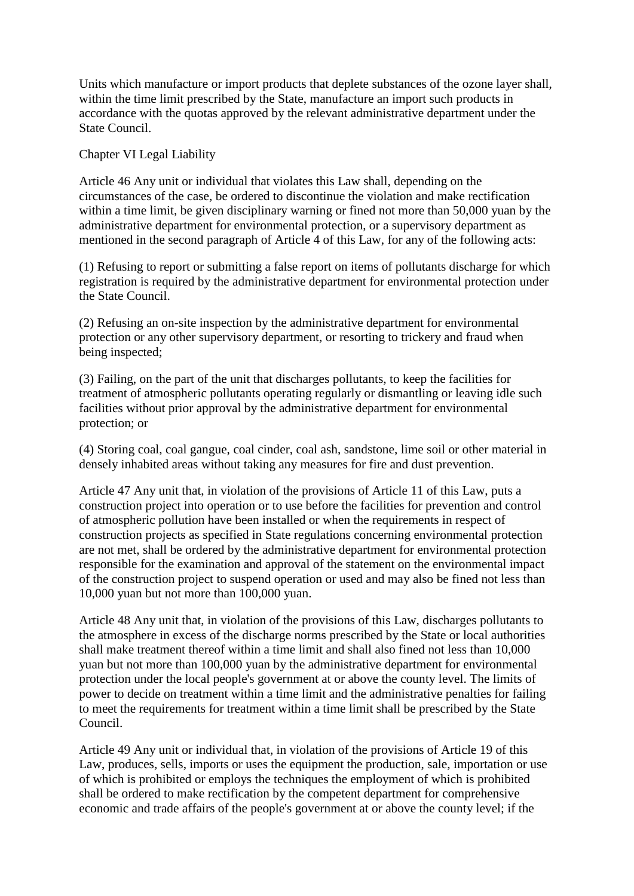Units which manufacture or import products that deplete substances of the ozone layer shall, within the time limit prescribed by the State, manufacture an import such products in accordance with the quotas approved by the relevant administrative department under the State Council.

Chapter VI Legal Liability

Article 46 Any unit or individual that violates this Law shall, depending on the circumstances of the case, be ordered to discontinue the violation and make rectification within a time limit, be given disciplinary warning or fined not more than 50,000 yuan by the administrative department for environmental protection, or a supervisory department as mentioned in the second paragraph of Article 4 of this Law, for any of the following acts:

(1) Refusing to report or submitting a false report on items of pollutants discharge for which registration is required by the administrative department for environmental protection under the State Council.

(2) Refusing an on-site inspection by the administrative department for environmental protection or any other supervisory department, or resorting to trickery and fraud when being inspected;

(3) Failing, on the part of the unit that discharges pollutants, to keep the facilities for treatment of atmospheric pollutants operating regularly or dismantling or leaving idle such facilities without prior approval by the administrative department for environmental protection; or

(4) Storing coal, coal gangue, coal cinder, coal ash, sandstone, lime soil or other material in densely inhabited areas without taking any measures for fire and dust prevention.

Article 47 Any unit that, in violation of the provisions of Article 11 of this Law, puts a construction project into operation or to use before the facilities for prevention and control of atmospheric pollution have been installed or when the requirements in respect of construction projects as specified in State regulations concerning environmental protection are not met, shall be ordered by the administrative department for environmental protection responsible for the examination and approval of the statement on the environmental impact of the construction project to suspend operation or used and may also be fined not less than 10,000 yuan but not more than 100,000 yuan.

Article 48 Any unit that, in violation of the provisions of this Law, discharges pollutants to the atmosphere in excess of the discharge norms prescribed by the State or local authorities shall make treatment thereof within a time limit and shall also fined not less than 10,000 yuan but not more than 100,000 yuan by the administrative department for environmental protection under the local people's government at or above the county level. The limits of power to decide on treatment within a time limit and the administrative penalties for failing to meet the requirements for treatment within a time limit shall be prescribed by the State Council.

Article 49 Any unit or individual that, in violation of the provisions of Article 19 of this Law, produces, sells, imports or uses the equipment the production, sale, importation or use of which is prohibited or employs the techniques the employment of which is prohibited shall be ordered to make rectification by the competent department for comprehensive economic and trade affairs of the people's government at or above the county level; if the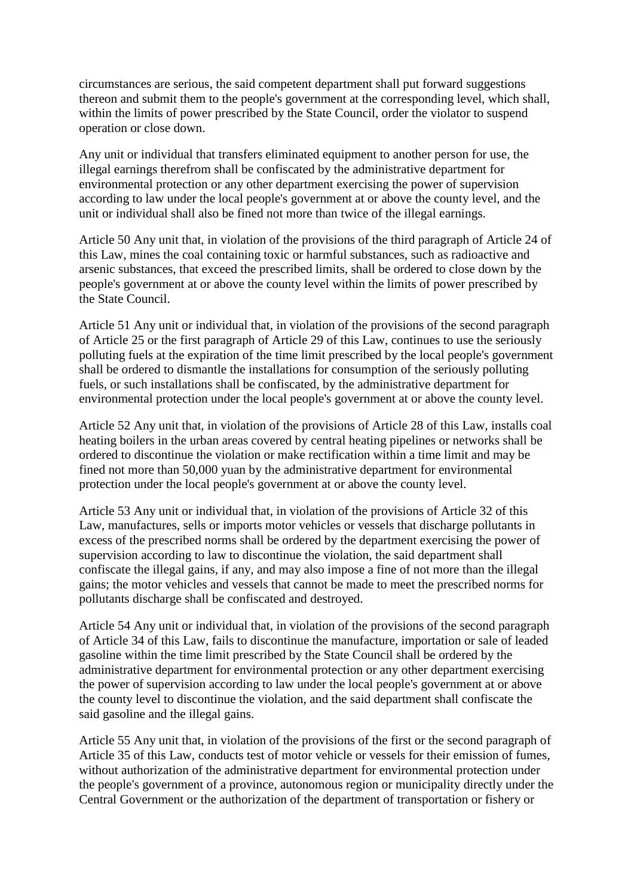circumstances are serious, the said competent department shall put forward suggestions thereon and submit them to the people's government at the corresponding level, which shall, within the limits of power prescribed by the State Council, order the violator to suspend operation or close down.

Any unit or individual that transfers eliminated equipment to another person for use, the illegal earnings therefrom shall be confiscated by the administrative department for environmental protection or any other department exercising the power of supervision according to law under the local people's government at or above the county level, and the unit or individual shall also be fined not more than twice of the illegal earnings.

Article 50 Any unit that, in violation of the provisions of the third paragraph of Article 24 of this Law, mines the coal containing toxic or harmful substances, such as radioactive and arsenic substances, that exceed the prescribed limits, shall be ordered to close down by the people's government at or above the county level within the limits of power prescribed by the State Council.

Article 51 Any unit or individual that, in violation of the provisions of the second paragraph of Article 25 or the first paragraph of Article 29 of this Law, continues to use the seriously polluting fuels at the expiration of the time limit prescribed by the local people's government shall be ordered to dismantle the installations for consumption of the seriously polluting fuels, or such installations shall be confiscated, by the administrative department for environmental protection under the local people's government at or above the county level.

Article 52 Any unit that, in violation of the provisions of Article 28 of this Law, installs coal heating boilers in the urban areas covered by central heating pipelines or networks shall be ordered to discontinue the violation or make rectification within a time limit and may be fined not more than 50,000 yuan by the administrative department for environmental protection under the local people's government at or above the county level.

Article 53 Any unit or individual that, in violation of the provisions of Article 32 of this Law, manufactures, sells or imports motor vehicles or vessels that discharge pollutants in excess of the prescribed norms shall be ordered by the department exercising the power of supervision according to law to discontinue the violation, the said department shall confiscate the illegal gains, if any, and may also impose a fine of not more than the illegal gains; the motor vehicles and vessels that cannot be made to meet the prescribed norms for pollutants discharge shall be confiscated and destroyed.

Article 54 Any unit or individual that, in violation of the provisions of the second paragraph of Article 34 of this Law, fails to discontinue the manufacture, importation or sale of leaded gasoline within the time limit prescribed by the State Council shall be ordered by the administrative department for environmental protection or any other department exercising the power of supervision according to law under the local people's government at or above the county level to discontinue the violation, and the said department shall confiscate the said gasoline and the illegal gains.

Article 55 Any unit that, in violation of the provisions of the first or the second paragraph of Article 35 of this Law, conducts test of motor vehicle or vessels for their emission of fumes, without authorization of the administrative department for environmental protection under the people's government of a province, autonomous region or municipality directly under the Central Government or the authorization of the department of transportation or fishery or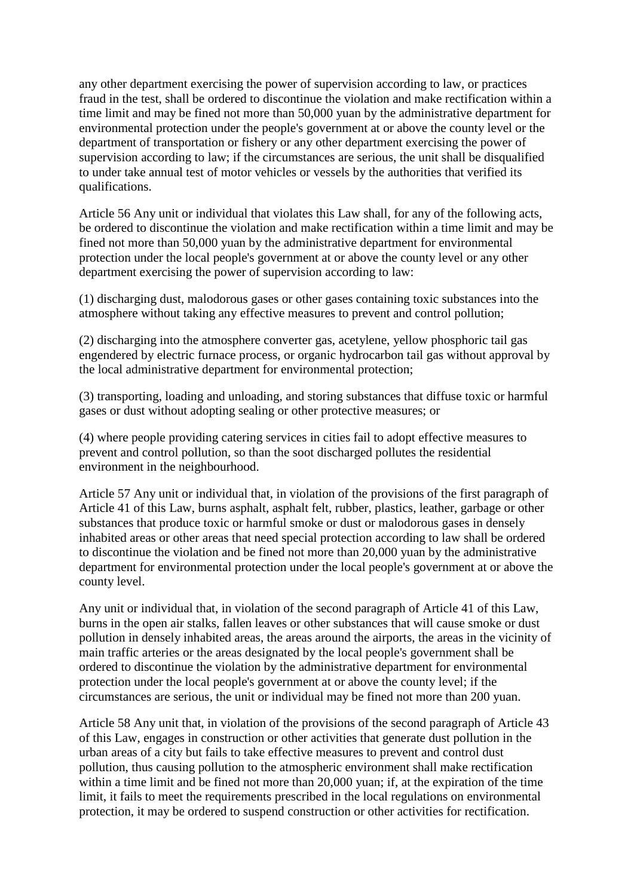any other department exercising the power of supervision according to law, or practices fraud in the test, shall be ordered to discontinue the violation and make rectification within a time limit and may be fined not more than 50,000 yuan by the administrative department for environmental protection under the people's government at or above the county level or the department of transportation or fishery or any other department exercising the power of supervision according to law; if the circumstances are serious, the unit shall be disqualified to under take annual test of motor vehicles or vessels by the authorities that verified its qualifications.

Article 56 Any unit or individual that violates this Law shall, for any of the following acts, be ordered to discontinue the violation and make rectification within a time limit and may be fined not more than 50,000 yuan by the administrative department for environmental protection under the local people's government at or above the county level or any other department exercising the power of supervision according to law:

(1) discharging dust, malodorous gases or other gases containing toxic substances into the atmosphere without taking any effective measures to prevent and control pollution;

(2) discharging into the atmosphere converter gas, acetylene, yellow phosphoric tail gas engendered by electric furnace process, or organic hydrocarbon tail gas without approval by the local administrative department for environmental protection;

(3) transporting, loading and unloading, and storing substances that diffuse toxic or harmful gases or dust without adopting sealing or other protective measures; or

(4) where people providing catering services in cities fail to adopt effective measures to prevent and control pollution, so than the soot discharged pollutes the residential environment in the neighbourhood.

Article 57 Any unit or individual that, in violation of the provisions of the first paragraph of Article 41 of this Law, burns asphalt, asphalt felt, rubber, plastics, leather, garbage or other substances that produce toxic or harmful smoke or dust or malodorous gases in densely inhabited areas or other areas that need special protection according to law shall be ordered to discontinue the violation and be fined not more than 20,000 yuan by the administrative department for environmental protection under the local people's government at or above the county level.

Any unit or individual that, in violation of the second paragraph of Article 41 of this Law, burns in the open air stalks, fallen leaves or other substances that will cause smoke or dust pollution in densely inhabited areas, the areas around the airports, the areas in the vicinity of main traffic arteries or the areas designated by the local people's government shall be ordered to discontinue the violation by the administrative department for environmental protection under the local people's government at or above the county level; if the circumstances are serious, the unit or individual may be fined not more than 200 yuan.

Article 58 Any unit that, in violation of the provisions of the second paragraph of Article 43 of this Law, engages in construction or other activities that generate dust pollution in the urban areas of a city but fails to take effective measures to prevent and control dust pollution, thus causing pollution to the atmospheric environment shall make rectification within a time limit and be fined not more than 20,000 yuan; if, at the expiration of the time limit, it fails to meet the requirements prescribed in the local regulations on environmental protection, it may be ordered to suspend construction or other activities for rectification.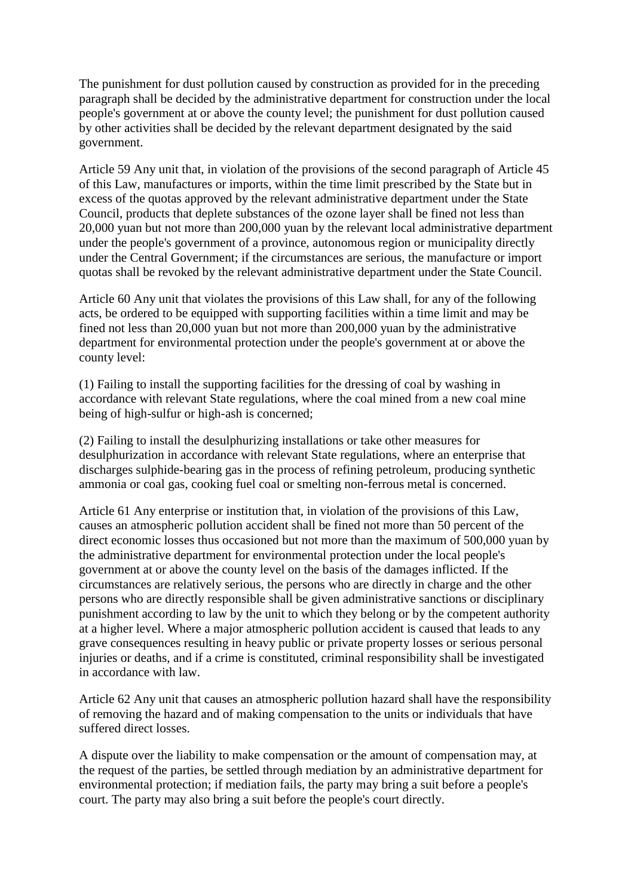The punishment for dust pollution caused by construction as provided for in the preceding paragraph shall be decided by the administrative department for construction under the local people's government at or above the county level; the punishment for dust pollution caused by other activities shall be decided by the relevant department designated by the said government.

Article 59 Any unit that, in violation of the provisions of the second paragraph of Article 45 of this Law, manufactures or imports, within the time limit prescribed by the State but in excess of the quotas approved by the relevant administrative department under the State Council, products that deplete substances of the ozone layer shall be fined not less than 20,000 yuan but not more than 200,000 yuan by the relevant local administrative department under the people's government of a province, autonomous region or municipality directly under the Central Government; if the circumstances are serious, the manufacture or import quotas shall be revoked by the relevant administrative department under the State Council.

Article 60 Any unit that violates the provisions of this Law shall, for any of the following acts, be ordered to be equipped with supporting facilities within a time limit and may be fined not less than 20,000 yuan but not more than 200,000 yuan by the administrative department for environmental protection under the people's government at or above the county level:

(1) Failing to install the supporting facilities for the dressing of coal by washing in accordance with relevant State regulations, where the coal mined from a new coal mine being of high-sulfur or high-ash is concerned;

(2) Failing to install the desulphurizing installations or take other measures for desulphurization in accordance with relevant State regulations, where an enterprise that discharges sulphide-bearing gas in the process of refining petroleum, producing synthetic ammonia or coal gas, cooking fuel coal or smelting non-ferrous metal is concerned.

Article 61 Any enterprise or institution that, in violation of the provisions of this Law, causes an atmospheric pollution accident shall be fined not more than 50 percent of the direct economic losses thus occasioned but not more than the maximum of 500,000 yuan by the administrative department for environmental protection under the local people's government at or above the county level on the basis of the damages inflicted. If the circumstances are relatively serious, the persons who are directly in charge and the other persons who are directly responsible shall be given administrative sanctions or disciplinary punishment according to law by the unit to which they belong or by the competent authority at a higher level. Where a major atmospheric pollution accident is caused that leads to any grave consequences resulting in heavy public or private property losses or serious personal injuries or deaths, and if a crime is constituted, criminal responsibility shall be investigated in accordance with law.

Article 62 Any unit that causes an atmospheric pollution hazard shall have the responsibility of removing the hazard and of making compensation to the units or individuals that have suffered direct losses.

A dispute over the liability to make compensation or the amount of compensation may, at the request of the parties, be settled through mediation by an administrative department for environmental protection; if mediation fails, the party may bring a suit before a people's court. The party may also bring a suit before the people's court directly.